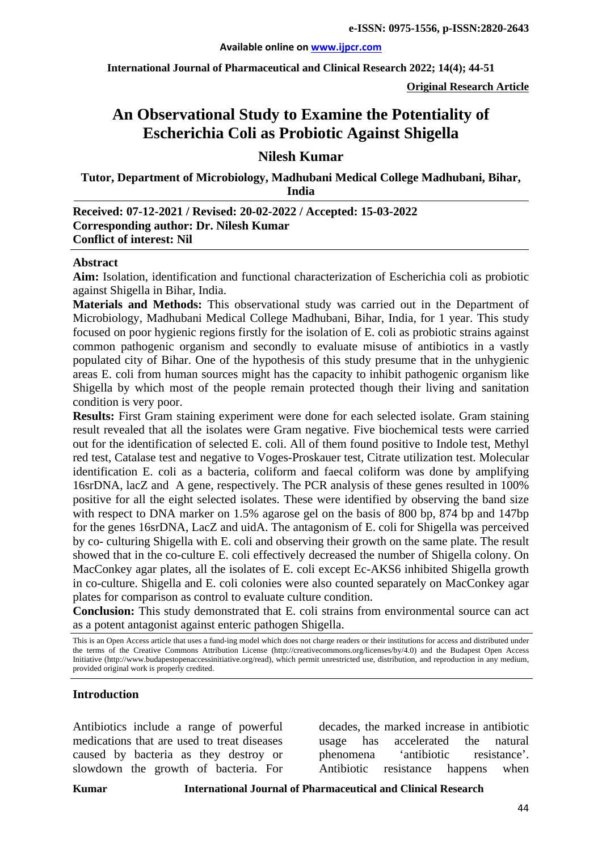**International Journal of Pharmaceutical and Clinical Research 2022; 14(4); 44-51**

**Original Research Article**

# **An Observational Study to Examine the Potentiality of Escherichia Coli as Probiotic Against Shigella**

**Nilesh Kumar**

**Tutor, Department of Microbiology, Madhubani Medical College Madhubani, Bihar, India**

### **Received: 07-12-2021 / Revised: 20-02-2022 / Accepted: 15-03-2022 Corresponding author: Dr. Nilesh Kumar Conflict of interest: Nil**

#### **Abstract**

**Aim:** Isolation, identification and functional characterization of Escherichia coli as probiotic against Shigella in Bihar, India.

**Materials and Methods:** This observational study was carried out in the Department of Microbiology, Madhubani Medical College Madhubani, Bihar, India, for 1 year. This study focused on poor hygienic regions firstly for the isolation of E. coli as probiotic strains against common pathogenic organism and secondly to evaluate misuse of antibiotics in a vastly populated city of Bihar. One of the hypothesis of this study presume that in the unhygienic areas E. coli from human sources might has the capacity to inhibit pathogenic organism like Shigella by which most of the people remain protected though their living and sanitation condition is very poor.

**Results:** First Gram staining experiment were done for each selected isolate. Gram staining result revealed that all the isolates were Gram negative. Five biochemical tests were carried out for the identification of selected E. coli. All of them found positive to Indole test, Methyl red test, Catalase test and negative to Voges-Proskauer test, Citrate utilization test. Molecular identification E. coli as a bacteria, coliform and faecal coliform was done by amplifying 16srDNA, lacZ and A gene, respectively. The PCR analysis of these genes resulted in 100% positive for all the eight selected isolates. These were identified by observing the band size with respect to DNA marker on 1.5% agarose gel on the basis of 800 bp, 874 bp and 147bp for the genes 16srDNA, LacZ and uidA. The antagonism of E. coli for Shigella was perceived by co- culturing Shigella with E. coli and observing their growth on the same plate. The result showed that in the co-culture E. coli effectively decreased the number of Shigella colony. On MacConkey agar plates, all the isolates of E. coli except Ec-AKS6 inhibited Shigella growth in co-culture. Shigella and E. coli colonies were also counted separately on MacConkey agar plates for comparison as control to evaluate culture condition.

**Conclusion:** This study demonstrated that E. coli strains from environmental source can act as a potent antagonist against enteric pathogen Shigella.

This is an Open Access article that uses a fund-ing model which does not charge readers or their institutions for access and distributed under the terms of the Creative Commons Attribution License (http://creativecommons.org/licenses/by/4.0) and the Budapest Open Access Initiative (http://www.budapestopenaccessinitiative.org/read), which permit unrestricted use, distribution, and reproduction in any medium, provided original work is properly credited.

#### **Introduction**

Antibiotics include a range of powerful medications that are used to treat diseases caused by bacteria as they destroy or slowdown the growth of bacteria. For

decades, the marked increase in antibiotic usage has accelerated the natural phenomena 'antibiotic resistance'. Antibiotic resistance happens when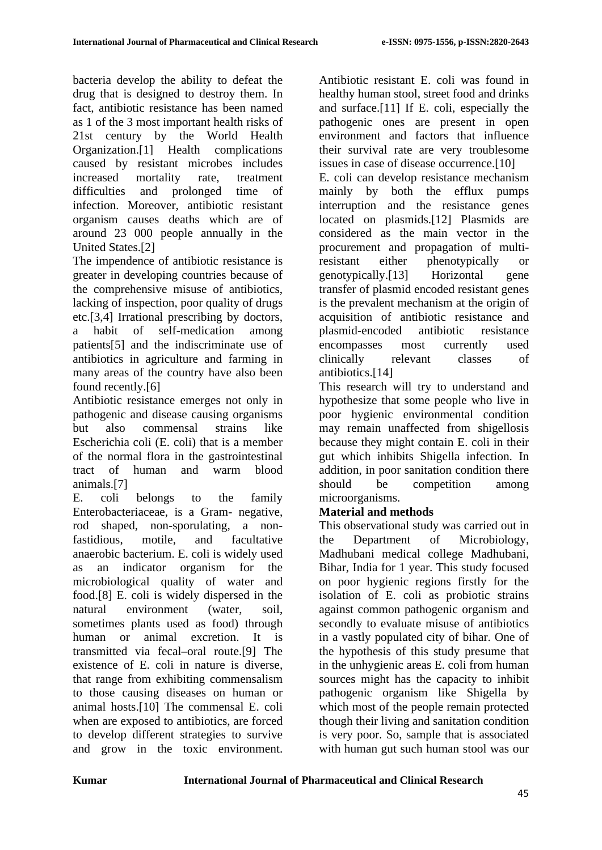bacteria develop the ability to defeat the drug that is designed to destroy them. In fact, antibiotic resistance has been named as 1 of the 3 most important health risks of 21st century by the World Health Organization.[1] Health complications caused by resistant microbes includes increased mortality rate, treatment difficulties and prolonged time of infection. Moreover, antibiotic resistant organism causes deaths which are of around 23 000 people annually in the United States.[2]

The impendence of antibiotic resistance is greater in developing countries because of the comprehensive misuse of antibiotics, lacking of inspection, poor quality of drugs etc.[3,4] Irrational prescribing by doctors, a habit of self-medication among patients[5] and the indiscriminate use of antibiotics in agriculture and farming in many areas of the country have also been found recently.[6]

Antibiotic resistance emerges not only in pathogenic and disease causing organisms but also commensal strains like Escherichia coli (E. coli) that is a member of the normal flora in the gastrointestinal tract of human and warm blood animals.[7]

E. coli belongs to the family Enterobacteriaceae, is a Gram- negative, rod shaped, non-sporulating, a nonfastidious, motile, and facultative anaerobic bacterium. E. coli is widely used as an indicator organism for the microbiological quality of water and food.[8] E. coli is widely dispersed in the natural environment (water, soil, sometimes plants used as food) through human or animal excretion. It is transmitted via fecal–oral route.[9] The existence of E. coli in nature is diverse, that range from exhibiting commensalism to those causing diseases on human or animal hosts.[10] The commensal E. coli when are exposed to antibiotics, are forced to develop different strategies to survive and grow in the toxic environment. Antibiotic resistant E. coli was found in healthy human stool, street food and drinks and surface.[11] If E. coli, especially the pathogenic ones are present in open environment and factors that influence their survival rate are very troublesome issues in case of disease occurrence.[10] E. coli can develop resistance mechanism mainly by both the efflux pumps interruption and the resistance genes located on plasmids.[12] Plasmids are considered as the main vector in the procurement and propagation of multiresistant either phenotypically or genotypically.[13] Horizontal gene transfer of plasmid encoded resistant genes is the prevalent mechanism at the origin of acquisition of antibiotic resistance and plasmid-encoded antibiotic resistance encompasses most currently used clinically relevant classes of antibiotics.[14]

This research will try to understand and hypothesize that some people who live in poor hygienic environmental condition may remain unaffected from shigellosis because they might contain E. coli in their gut which inhibits Shigella infection. In addition, in poor sanitation condition there should be competition among microorganisms.

# **Material and methods**

This observational study was carried out in the Department of Microbiology, Madhubani medical college Madhubani, Bihar, India for 1 year. This study focused on poor hygienic regions firstly for the isolation of E. coli as probiotic strains against common pathogenic organism and secondly to evaluate misuse of antibiotics in a vastly populated city of bihar. One of the hypothesis of this study presume that in the unhygienic areas E. coli from human sources might has the capacity to inhibit pathogenic organism like Shigella by which most of the people remain protected though their living and sanitation condition is very poor. So, sample that is associated with human gut such human stool was our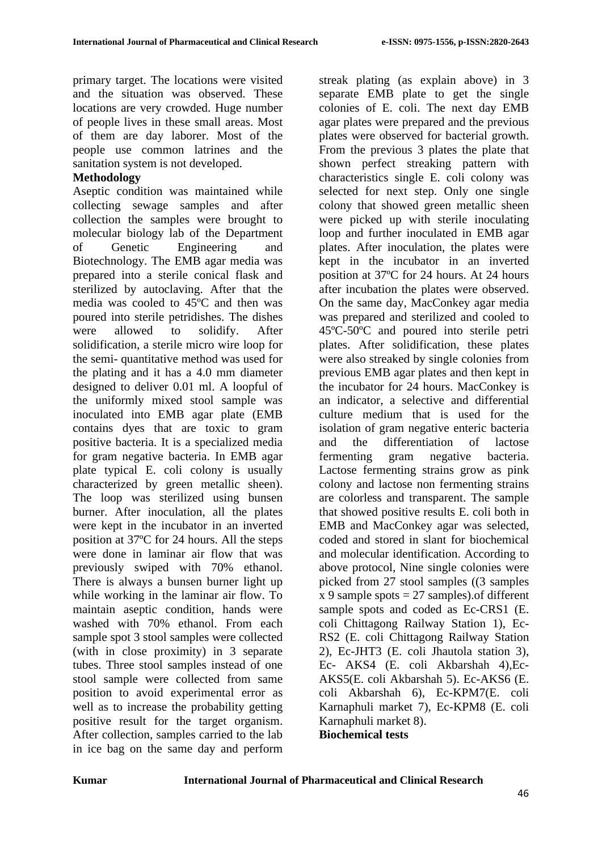primary target. The locations were visited and the situation was observed. These locations are very crowded. Huge number of people lives in these small areas. Most of them are day laborer. Most of the people use common latrines and the sanitation system is not developed.

### **Methodology**

Aseptic condition was maintained while collecting sewage samples and after collection the samples were brought to molecular biology lab of the Department of Genetic Engineering and Biotechnology. The EMB agar media was prepared into a sterile conical flask and sterilized by autoclaving. After that the media was cooled to 45ºC and then was poured into sterile petridishes. The dishes were allowed to solidify. After solidification, a sterile micro wire loop for the semi- quantitative method was used for the plating and it has a 4.0 mm diameter designed to deliver 0.01 ml. A loopful of the uniformly mixed stool sample was inoculated into EMB agar plate (EMB contains dyes that are toxic to gram positive bacteria. It is a specialized media for gram negative bacteria. In EMB agar plate typical E. coli colony is usually characterized by green metallic sheen). The loop was sterilized using bunsen burner. After inoculation, all the plates were kept in the incubator in an inverted position at 37ºC for 24 hours. All the steps were done in laminar air flow that was previously swiped with 70% ethanol. There is always a bunsen burner light up while working in the laminar air flow. To maintain aseptic condition, hands were washed with 70% ethanol. From each sample spot 3 stool samples were collected (with in close proximity) in 3 separate tubes. Three stool samples instead of one stool sample were collected from same position to avoid experimental error as well as to increase the probability getting positive result for the target organism. After collection, samples carried to the lab in ice bag on the same day and perform streak plating (as explain above) in 3 separate EMB plate to get the single colonies of E. coli. The next day EMB agar plates were prepared and the previous plates were observed for bacterial growth. From the previous 3 plates the plate that shown perfect streaking pattern with characteristics single E. coli colony was selected for next step. Only one single colony that showed green metallic sheen were picked up with sterile inoculating loop and further inoculated in EMB agar plates. After inoculation, the plates were kept in the incubator in an inverted position at 37ºC for 24 hours. At 24 hours after incubation the plates were observed. On the same day, MacConkey agar media was prepared and sterilized and cooled to 45ºC-50ºC and poured into sterile petri plates. After solidification, these plates were also streaked by single colonies from previous EMB agar plates and then kept in the incubator for 24 hours. MacConkey is an indicator, a selective and differential culture medium that is used for the isolation of gram negative enteric bacteria and the differentiation of lactose fermenting gram negative bacteria. Lactose fermenting strains grow as pink colony and lactose non fermenting strains are colorless and transparent. The sample that showed positive results E. coli both in EMB and MacConkey agar was selected, coded and stored in slant for biochemical and molecular identification. According to above protocol, Nine single colonies were picked from 27 stool samples ((3 samples  $x 9$  sample spots = 27 samples). of different sample spots and coded as Ec-CRS1 (E. coli Chittagong Railway Station 1), Ec-RS2 (E. coli Chittagong Railway Station 2), Ec-JHT3 (E. coli Jhautola station 3), Ec- AKS4 (E. coli Akbarshah 4),Ec-AKS5(E. coli Akbarshah 5). Ec-AKS6 (E. coli Akbarshah 6), Ec-KPM7(E. coli Karnaphuli market 7), Ec-KPM8 (E. coli Karnaphuli market 8). **Biochemical tests**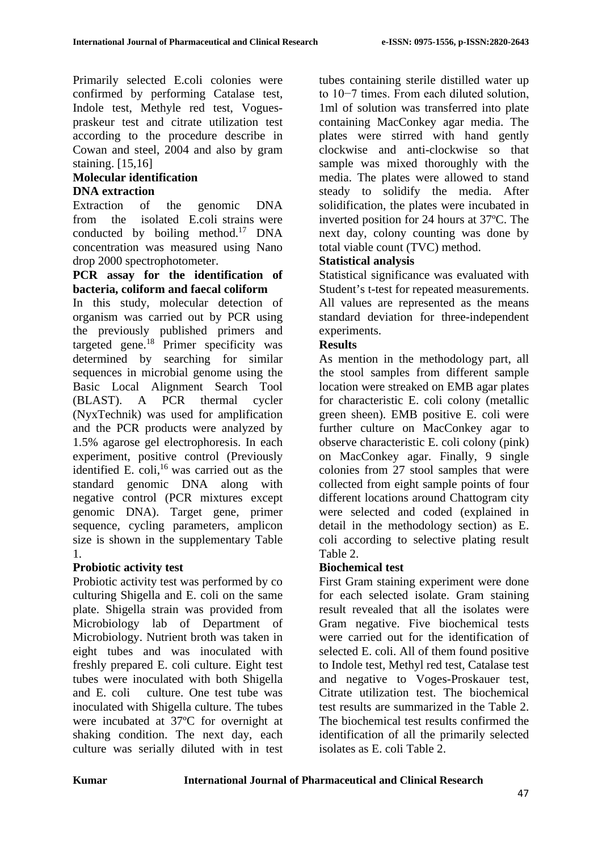Primarily selected E.coli colonies were confirmed by performing Catalase test, Indole test, Methyle red test, Voguespraskeur test and citrate utilization test according to the procedure describe in Cowan and steel, 2004 and also by gram staining. [15,16]

# **Molecular identification DNA extraction**

Extraction of the genomic DNA from the isolated E.coli strains were conducted by boiling method.<sup>17</sup> DNA concentration was measured using Nano drop 2000 spectrophotometer.

### **PCR assay for the identification of bacteria, coliform and faecal coliform**

In this study, molecular detection of organism was carried out by PCR using the previously published primers and targeted gene.<sup>18</sup> Primer specificity was determined by searching for similar sequences in microbial genome using the Basic Local Alignment Search Tool (BLAST). A PCR thermal cycler (NyxTechnik) was used for amplification and the PCR products were analyzed by 1.5% agarose gel electrophoresis. In each experiment, positive control (Previously identified E. coli,<sup>16</sup> was carried out as the standard genomic DNA along with negative control (PCR mixtures except genomic DNA). Target gene, primer sequence, cycling parameters, amplicon size is shown in the supplementary Table [1.](#page-4-0)

# **Probiotic activity test**

Probiotic activity test was performed by co culturing Shigella and E. coli on the same plate. Shigella strain was provided from Microbiology lab of Department of Microbiology. Nutrient broth was taken in eight tubes and was inoculated with freshly prepared E. coli culture. Eight test tubes were inoculated with both Shigella and E. coli culture. One test tube was inoculated with Shigella culture. The tubes were incubated at 37ºC for overnight at shaking condition. The next day, each culture was serially diluted with in test tubes containing sterile distilled water up to 10−7 times. From each diluted solution, 1ml of solution was transferred into plate containing MacConkey agar media. The plates were stirred with hand gently clockwise and anti-clockwise so that sample was mixed thoroughly with the media. The plates were allowed to stand steady to solidify the media. After solidification, the plates were incubated in inverted position for 24 hours at 37ºC. The next day, colony counting was done by total viable count (TVC) method.

# **Statistical analysis**

Statistical significance was evaluated with Student's t-test for repeated measurements. All values are represented as the means standard deviation for three-independent experiments.

# **Results**

As mention in the methodology part, all the stool samples from different sample location were streaked on EMB agar plates for characteristic E. coli colony (metallic green sheen). EMB positive E. coli were further culture on MacConkey agar to observe characteristic E. coli colony (pink) on MacConkey agar. Finally, 9 single colonies from 27 stool samples that were collected from eight sample points of four different locations around Chattogram city were selected and coded (explained in detail in the methodology section) as E. coli according to selective plating result Table [2.](#page-4-1)

# **Biochemical test**

First Gram staining experiment were done for each selected isolate. Gram staining result revealed that all the isolates were Gram negative. Five biochemical tests were carried out for the identification of selected E. coli. All of them found positive to Indole test, Methyl red test, Catalase test and negative to Voges-Proskauer test, Citrate utilization test. The biochemical test results are summarized in the Table [2.](#page-4-1) The biochemical test results confirmed the identification of all the primarily selected isolates as E. coli Table [2.](#page-4-1)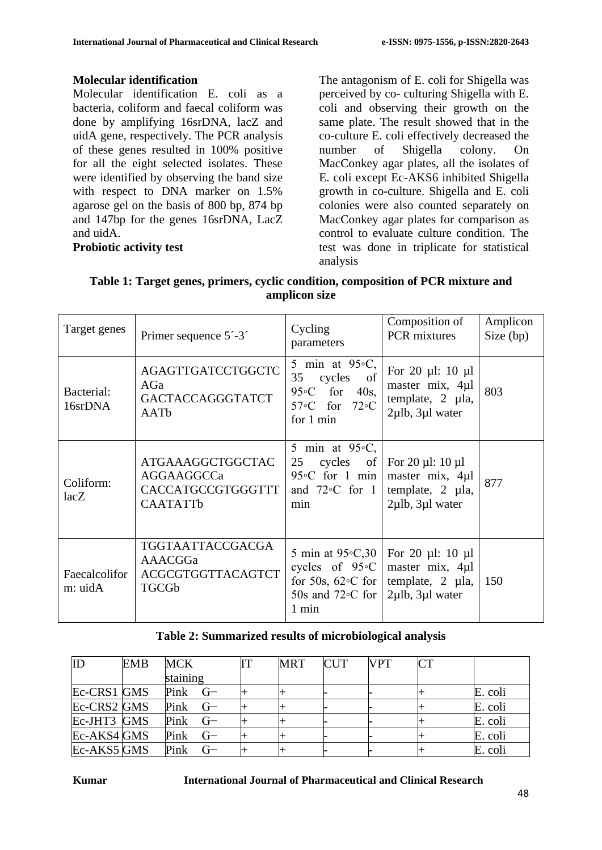### **Molecular identification**

Molecular identification E. coli as a bacteria, coliform and faecal coliform was done by amplifying 16srDNA, lacZ and uidA gene, respectively. The PCR analysis of these genes resulted in 100% positive for all the eight selected isolates. These were identified by observing the band size with respect to DNA marker on 1.5% agarose gel on the basis of 800 bp, 874 bp and 147bp for the genes 16srDNA, LacZ and uidA.

### **Probiotic activity test**

The antagonism of E. coli for Shigella was perceived by co- culturing Shigella with E. coli and observing their growth on the same plate. The result showed that in the co-culture E. coli effectively decreased the number of Shigella colony. On MacConkey agar plates, all the isolates of E. coli except Ec-AKS6 inhibited Shigella growth in co-culture. Shigella and E. coli colonies were also counted separately on MacConkey agar plates for comparison as control to evaluate culture condition. The test was done in triplicate for statistical analysis

<span id="page-4-0"></span>

| Table 1: Target genes, primers, cyclic condition, composition of PCR mixture and |
|----------------------------------------------------------------------------------|
| amplicon size                                                                    |

| Target genes             | Primer sequence 5'-3'                                                          | Cycling<br>parameters                                                                                             | Composition of<br>PCR mixtures                                                                       | Amplicon<br>Size (bp) |
|--------------------------|--------------------------------------------------------------------------------|-------------------------------------------------------------------------------------------------------------------|------------------------------------------------------------------------------------------------------|-----------------------|
| Bacterial:<br>16srDNA    | <b>AGAGTTGATCCTGGCTC</b><br>AGa<br>GACTACCAGGGTATCT<br>AATb                    | 5 min at $95\degree$ C,<br>35<br>cycles of<br>95 $\circ$ C for 40s,<br>57 $\circ$ C for 72 $\circ$ C<br>for 1 min | For 20 $\mu$ l: 10 $\mu$ l<br>master mix, 4µl<br>template, 2 µla,<br>$2\mu$ lb, $3\mu$ l water       | 803                   |
| Coliform:<br>lacZ        | ATGAAAGGCTGGCTAC<br>AGGAAGGCCa<br>CACCATGCCGTGGGTTT<br><b>CAATATTb</b>         | 5 min at $95\degree$ C,<br>cycles of<br>25<br>95 $\circ$ C for 1 min<br>and $72$ °C for 1<br>min                  | For 20 $\mu$ l: 10 $\mu$ l<br>master mix, 4µ1<br>template, $2 \mu l$ a,<br>$2\mu$ lb, $3\mu$ l water | 877                   |
| Faecalcolifor<br>m: uidA | <b>TGGTAATTACCGACGA</b><br>AAACGGa<br><b>ACGCGTGGTTACAGTCT</b><br><b>TGCGb</b> | 5 min at 95 °C, 30<br>cycles of $95°C$<br>for 50s, $62 \circ C$ for<br>50s and $72$ °C for<br>$1 \text{ min}$     | For 20 $\mu$ l: 10 $\mu$ l<br>master mix, 4µ1<br>template, $2 \mu l$ a,<br>$2\mu$ lb, $3\mu$ l water | 150                   |

### **Table 2: Summarized results of microbiological analysis**

<span id="page-4-1"></span>

| ID          | <b>EMB</b> | <b>MCK</b>   | TТ | <b>MRT</b> | <b>CUT</b> | <b>VPT</b> | <b>CT</b> |         |
|-------------|------------|--------------|----|------------|------------|------------|-----------|---------|
|             |            | staining     |    |            |            |            |           |         |
| Ec-CRS1 GMS |            | $Pink$ G-    |    |            |            |            |           | E. coli |
| Ec-CRS2 GMS |            | $Pink$ G-    |    |            |            |            |           | E. coli |
| Ec-JHT3 GMS |            | $Pink$ G-    |    |            |            |            |           | E. coli |
| Ec-AKS4 GMS |            | Pink<br>$G-$ |    |            |            |            |           | E. coli |
| Ec-AKS5 GMS |            | Pink         |    |            |            |            |           | E. coli |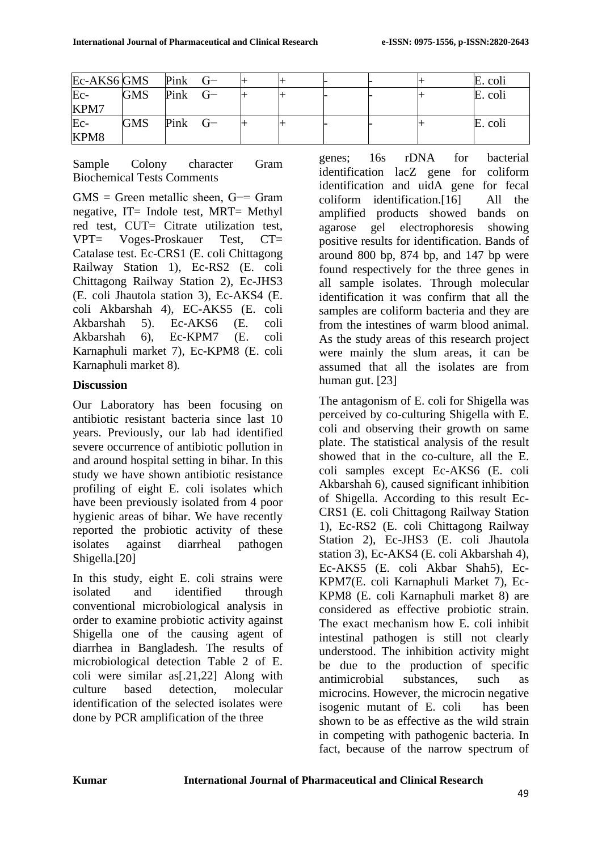| Ec-AKS6 GMS |            | $Pink$ $G-$ |  |  |  | E. coli |
|-------------|------------|-------------|--|--|--|---------|
| $Ec-$       | <b>GMS</b> | $Pink$ $G-$ |  |  |  | E. coli |
| KPM7        |            |             |  |  |  |         |
| Ec-         | <b>GMS</b> | $Pink$ $G-$ |  |  |  | E. coli |
| KPM8        |            |             |  |  |  |         |

Sample Colony character Gram Biochemical Tests Comments

 $GMS = Green$  metallic sheen,  $G = \text{Gram}$ negative, IT= Indole test, MRT= Methyl red test, CUT= Citrate utilization test, VPT= Voges-Proskauer Test, CT= Catalase test. Ec-CRS1 (E. coli Chittagong Railway Station 1), Ec-RS2 (E. coli Chittagong Railway Station 2), Ec-JHS3 (E. coli Jhautola station 3), Ec-AKS4 (E. coli Akbarshah 4), EC-AKS5 (E. coli Akbarshah 5). Ec-AKS6 (E. coli Akbarshah 6), Ec-KPM7 (E. coli Karnaphuli market 7), Ec-KPM8 (E. coli Karnaphuli market 8)*.*

# **Discussion**

Our Laboratory has been focusing on antibiotic resistant bacteria since last 10 years. Previously, our lab had identified severe occurrence of antibiotic pollution in and around hospital setting in bihar. In this study we have shown antibiotic resistance profiling of eight E. coli isolates which have been previously isolated from 4 poor hygienic areas of bihar. We have recently reported the probiotic activity of these isolates against diarrheal pathogen Shigella.[20]

In this study, eight E. coli strains were isolated and identified through conventional microbiological analysis in order to examine probiotic activity against Shigella one of the causing agent of diarrhea in Bangladesh. The results of microbiological detection Table [2](#page-4-1) of E. coli were similar as[.21[,22\]](#page-7-0) Along with culture based detection, molecular identification of the selected isolates were done by PCR amplification of the three

genes; 16s rDNA for bacterial identification lacZ gene for coliform identification and uidA gene for fecal coliform identification.[\[16\]](#page-7-1) All the amplified products showed bands on agarose gel electrophoresis showing positive results for identification. Bands of around 800 bp, 874 bp, and 147 bp were found respectively for the three genes in all sample isolates. Through molecular identification it was confirm that all the samples are coliform bacteria and they are from the intestines of warm blood animal. As the study areas of this research project were mainly the slum areas, it can be assumed that all the isolates are from human gut. [23]

The antagonism of E. coli for Shigella was perceived by co-culturing Shigella with E. coli and observing their growth on same plate. The statistical analysis of the result showed that in the co-culture, all the E. coli samples except Ec-AKS6 (E. coli Akbarshah 6), caused significant inhibition of Shigella. According to this result Ec-CRS1 (E. coli Chittagong Railway Station 1), Ec-RS2 (E. coli Chittagong Railway Station 2), Ec-JHS3 (E. coli Jhautola station 3), Ec-AKS4 (E. coli Akbarshah 4), Ec-AKS5 (E. coli Akbar Shah5), Ec-KPM7(E. coli Karnaphuli Market 7), Ec-KPM8 (E. coli Karnaphuli market 8) are considered as effective probiotic strain. The exact mechanism how E. coli inhibit intestinal pathogen is still not clearly understood. The inhibition activity might be due to the production of specific antimicrobial substances, such as microcins. However, the microcin negative isogenic mutant of E. coli has been shown to be as effective as the wild strain in competing with pathogenic bacteria. In fact, because of the narrow spectrum of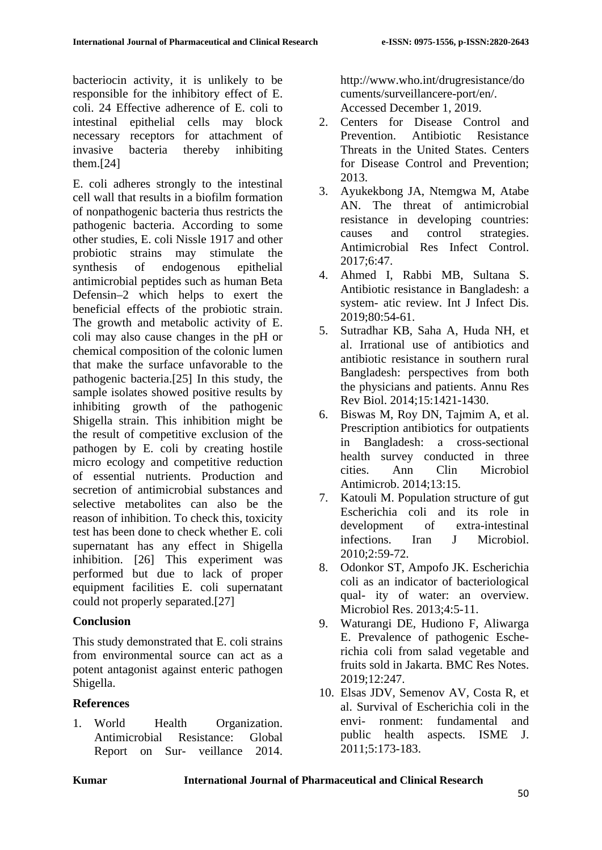bacteriocin activity, it is unlikely to be responsible for the inhibitory effect of E. coli. [24](#page-7-2) Effective adherence of E. coli to intestinal epithelial cells may block necessary receptors for attachment of invasive bacteria thereby inhibiting them.[24]

E. coli adheres strongly to the intestinal cell wall that results in a biofilm formation of nonpathogenic bacteria thus restricts the pathogenic bacteria. According to some other studies, E. coli Nissle 1917 and other probiotic strains may stimulate the synthesis of endogenous epithelial antimicrobial peptides such as human Beta Defensin–2 which helps to exert the beneficial effects of the probiotic strain. The growth and metabolic activity of E. coli may also cause changes in the pH or chemical composition of the colonic lumen that make the surface unfavorable to the pathogenic bacteria.[\[25\]](#page-7-3) In this study, the sample isolates showed positive results by inhibiting growth of the pathogenic Shigella strain. This inhibition might be the result of competitive exclusion of the pathogen by E. coli by creating hostile micro ecology and competitive reduction of essential nutrients. Production and secretion of antimicrobial substances and selective metabolites can also be the reason of inhibition. To check this, toxicity test has been done to check whether E. coli supernatant has any effect in Shigella inhibition. [\[26\]](#page-7-4) This experiment was performed but due to lack of proper equipment facilities E. coli supernatant could not properly separated.[27]

# **Conclusion**

This study demonstrated that E. coli strains from environmental source can act as a potent antagonist against enteric pathogen Shigella.

# **References**

1. World Health Organization. Antimicrobial Resistance: Global Report on Sur- veillance 2014.

[http://www.who.int/drugresistance/do](http://www.who.int/drugresistance/documents/surveillancereport/en/) [cuments/surveillancere-port/en/.](http://www.who.int/drugresistance/documents/surveillancereport/en/) Accessed December 1, 2019.

- 2. Centers for Disease Control and Prevention. Antibiotic Resistance Threats in the United States. Centers for Disease Control and Prevention; 2013.
- 3. Ayukekbong JA, Ntemgwa M, Atabe AN. The threat of antimicrobial resistance in developing countries: causes and control strategies. Antimicrobial Res Infect Control. 2017;6:47.
- 4. Ahmed I, Rabbi MB, Sultana S. Antibiotic resistance in Bangladesh: a system- atic review. Int J Infect Dis. 2019;80:54-61.
- 5. Sutradhar KB, Saha A, Huda NH, et al. Irrational use of antibiotics and antibiotic resistance in southern rural Bangladesh: perspectives from both the physicians and patients. Annu Res Rev Biol. 2014;15:1421-1430.
- 6. Biswas M, Roy DN, Tajmim A, et al. Prescription antibiotics for outpatients in Bangladesh: a cross-sectional health survey conducted in three cities. Ann Clin Microbiol Antimicrob. 2014;13:15.
- 7. Katouli M. Population structure of gut Escherichia coli and its role in development of extra-intestinal infections. Iran J Microbiol. 2010;2:59-72.
- 8. Odonkor ST, Ampofo JK. Escherichia coli as an indicator of bacteriological qual- ity of water: an overview. Microbiol Res. 2013;4:5-11.
- 9. Waturangi DE, Hudiono F, Aliwarga E. Prevalence of pathogenic Escherichia coli from salad vegetable and fruits sold in Jakarta. BMC Res Notes. 2019;12:247.
- 10. Elsas JDV, Semenov AV, Costa R, et al. Survival of Escherichia coli in the envi- ronment: fundamental and public health aspects. ISME J. 2011;5:173-183.